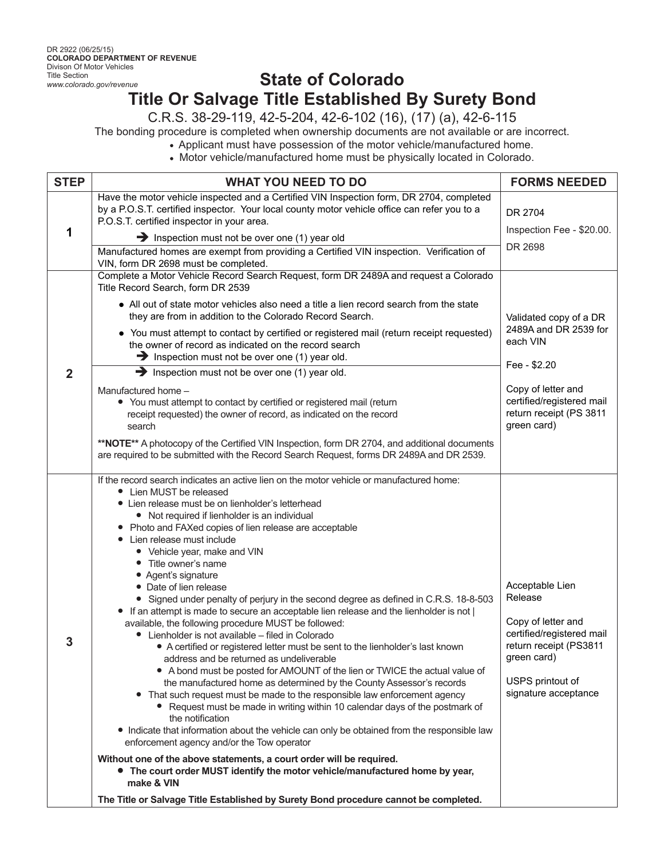## **State of Colorado Title Or Salvage Title Established By Surety Bond**

C.R.S. 38-29-119, 42-5-204, 42-6-102 (16), (17) (a), 42-6-115

The bonding procedure is completed when ownership documents are not available or are incorrect.

Applicant must have possession of the motor vehicle/manufactured home.

Motor vehicle/manufactured home must be physically located in Colorado.

| <b>STEP</b> | <b>WHAT YOU NEED TO DO</b>                                                                                                                                                                                                                                                                                                                                                                                                                                                                                                                                                                                                                                                                                                                                                                                                                                                                                                                                                                                                                                                                                                                                                                                                                                                                                                                                                                                                                                                                                      | <b>FORMS NEEDED</b>                                                                                                                                                      |
|-------------|-----------------------------------------------------------------------------------------------------------------------------------------------------------------------------------------------------------------------------------------------------------------------------------------------------------------------------------------------------------------------------------------------------------------------------------------------------------------------------------------------------------------------------------------------------------------------------------------------------------------------------------------------------------------------------------------------------------------------------------------------------------------------------------------------------------------------------------------------------------------------------------------------------------------------------------------------------------------------------------------------------------------------------------------------------------------------------------------------------------------------------------------------------------------------------------------------------------------------------------------------------------------------------------------------------------------------------------------------------------------------------------------------------------------------------------------------------------------------------------------------------------------|--------------------------------------------------------------------------------------------------------------------------------------------------------------------------|
| 1           | Have the motor vehicle inspected and a Certified VIN Inspection form, DR 2704, completed<br>by a P.O.S.T. certified inspector. Your local county motor vehicle office can refer you to a<br>P.O.S.T. certified inspector in your area.<br>Inspection must not be over one (1) year old<br>Manufactured homes are exempt from providing a Certified VIN inspection. Verification of                                                                                                                                                                                                                                                                                                                                                                                                                                                                                                                                                                                                                                                                                                                                                                                                                                                                                                                                                                                                                                                                                                                              | DR 2704<br>Inspection Fee - \$20.00.<br>DR 2698                                                                                                                          |
| $\mathbf 2$ | VIN, form DR 2698 must be completed.<br>Complete a Motor Vehicle Record Search Request, form DR 2489A and request a Colorado<br>Title Record Search, form DR 2539<br>• All out of state motor vehicles also need a title a lien record search from the state<br>they are from in addition to the Colorado Record Search.<br>• You must attempt to contact by certified or registered mail (return receipt requested)<br>the owner of record as indicated on the record search<br>Inspection must not be over one $(1)$ year old.<br>$\rightarrow$ Inspection must not be over one (1) year old.<br>Manufactured home -<br>• You must attempt to contact by certified or registered mail (return<br>receipt requested) the owner of record, as indicated on the record<br>search<br>**NOTE** A photocopy of the Certified VIN Inspection, form DR 2704, and additional documents<br>are required to be submitted with the Record Search Request, forms DR 2489A and DR 2539.<br>If the record search indicates an active lien on the motor vehicle or manufactured home:                                                                                                                                                                                                                                                                                                                                                                                                                                         | Validated copy of a DR<br>2489A and DR 2539 for<br>each VIN<br>Fee - \$2.20<br>Copy of letter and<br>certified/registered mail<br>return receipt (PS 3811<br>green card) |
| 3           | • Lien MUST be released<br>• Lien release must be on lienholder's letterhead<br>• Not required if lienholder is an individual<br>• Photo and FAXed copies of lien release are acceptable<br>• Lien release must include<br>• Vehicle year, make and VIN<br>• Title owner's name<br>• Agent's signature<br>• Date of lien release<br>• Signed under penalty of perjury in the second degree as defined in C.R.S. 18-8-503<br>If an attempt is made to secure an acceptable lien release and the lienholder is not  <br>available, the following procedure MUST be followed:<br>• Lienholder is not available - filed in Colorado<br>• A certified or registered letter must be sent to the lienholder's last known<br>address and be returned as undeliverable<br>• A bond must be posted for AMOUNT of the lien or TWICE the actual value of<br>the manufactured home as determined by the County Assessor's records<br>That such request must be made to the responsible law enforcement agency<br>• Request must be made in writing within 10 calendar days of the postmark of<br>the notification<br>• Indicate that information about the vehicle can only be obtained from the responsible law<br>enforcement agency and/or the Tow operator<br>Without one of the above statements, a court order will be required.<br>• The court order MUST identify the motor vehicle/manufactured home by year,<br>make & VIN<br>The Title or Salvage Title Established by Surety Bond procedure cannot be completed. | Acceptable Lien<br>Release<br>Copy of letter and<br>certified/registered mail<br>return receipt (PS3811<br>green card)<br>USPS printout of<br>signature acceptance       |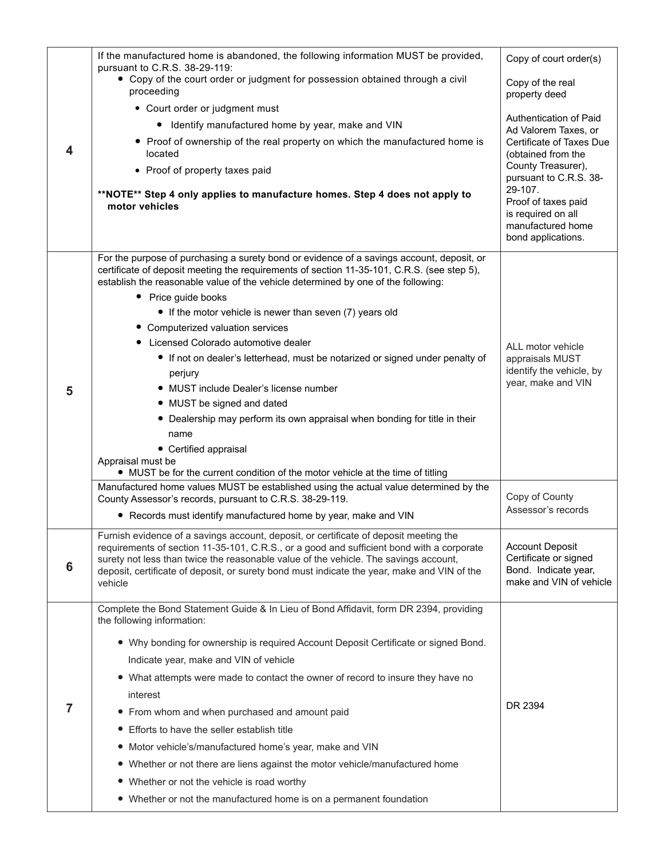|   | If the manufactured home is abandoned, the following information MUST be provided,<br>pursuant to C.R.S. 38-29-119:                                                                                                                                                                         | Copy of court order(s)                                                                             |
|---|---------------------------------------------------------------------------------------------------------------------------------------------------------------------------------------------------------------------------------------------------------------------------------------------|----------------------------------------------------------------------------------------------------|
|   | • Copy of the court order or judgment for possession obtained through a civil<br>proceeding                                                                                                                                                                                                 | Copy of the real<br>property deed                                                                  |
|   | • Court order or judgment must                                                                                                                                                                                                                                                              |                                                                                                    |
|   | • Identify manufactured home by year, make and VIN                                                                                                                                                                                                                                          | Authentication of Paid<br>Ad Valorem Taxes, or                                                     |
| 4 | • Proof of ownership of the real property on which the manufactured home is<br>located                                                                                                                                                                                                      | Certificate of Taxes Due<br>(obtained from the                                                     |
|   | • Proof of property taxes paid                                                                                                                                                                                                                                                              | County Treasurer),<br>pursuant to C.R.S. 38-                                                       |
|   | **NOTE** Step 4 only applies to manufacture homes. Step 4 does not apply to<br>motor vehicles                                                                                                                                                                                               | 29-107.<br>Proof of taxes paid<br>is required on all<br>manufactured home<br>bond applications.    |
|   | For the purpose of purchasing a surety bond or evidence of a savings account, deposit, or<br>certificate of deposit meeting the requirements of section 11-35-101, C.R.S. (see step 5),<br>establish the reasonable value of the vehicle determined by one of the following:                |                                                                                                    |
|   | • Price guide books                                                                                                                                                                                                                                                                         |                                                                                                    |
|   | • If the motor vehicle is newer than seven (7) years old                                                                                                                                                                                                                                    |                                                                                                    |
|   | • Computerized valuation services                                                                                                                                                                                                                                                           |                                                                                                    |
|   | Licensed Colorado automotive dealer                                                                                                                                                                                                                                                         | ALL motor vehicle                                                                                  |
|   | • If not on dealer's letterhead, must be notarized or signed under penalty of                                                                                                                                                                                                               | appraisals MUST                                                                                    |
|   | perjury                                                                                                                                                                                                                                                                                     | identify the vehicle, by<br>year, make and VIN                                                     |
| 5 | • MUST include Dealer's license number                                                                                                                                                                                                                                                      |                                                                                                    |
|   | • MUST be signed and dated<br>• Dealership may perform its own appraisal when bonding for title in their                                                                                                                                                                                    |                                                                                                    |
|   | name                                                                                                                                                                                                                                                                                        |                                                                                                    |
|   | • Certified appraisal                                                                                                                                                                                                                                                                       |                                                                                                    |
|   | Appraisal must be                                                                                                                                                                                                                                                                           |                                                                                                    |
|   | • MUST be for the current condition of the motor vehicle at the time of titling<br>Manufactured home values MUST be established using the actual value determined by the                                                                                                                    |                                                                                                    |
|   | County Assessor's records, pursuant to C.R.S. 38-29-119.                                                                                                                                                                                                                                    | Copy of County                                                                                     |
|   | • Records must identify manufactured home by year, make and VIN                                                                                                                                                                                                                             | Assessor's records                                                                                 |
|   | Furnish evidence of a savings account, deposit, or certificate of deposit meeting the                                                                                                                                                                                                       |                                                                                                    |
| 6 | requirements of section 11-35-101, C.R.S., or a good and sufficient bond with a corporate<br>surety not less than twice the reasonable value of the vehicle. The savings account,<br>deposit, certificate of deposit, or surety bond must indicate the year, make and VIN of the<br>vehicle | <b>Account Deposit</b><br>Certificate or signed<br>Bond. Indicate year,<br>make and VIN of vehicle |
|   | Complete the Bond Statement Guide & In Lieu of Bond Affidavit, form DR 2394, providing<br>the following information:                                                                                                                                                                        |                                                                                                    |
|   | • Why bonding for ownership is required Account Deposit Certificate or signed Bond.                                                                                                                                                                                                         |                                                                                                    |
|   | Indicate year, make and VIN of vehicle                                                                                                                                                                                                                                                      |                                                                                                    |
|   | • What attempts were made to contact the owner of record to insure they have no                                                                                                                                                                                                             |                                                                                                    |
|   | interest                                                                                                                                                                                                                                                                                    |                                                                                                    |
| 7 | From whom and when purchased and amount paid<br>$\bullet$                                                                                                                                                                                                                                   | DR 2394                                                                                            |
|   | Efforts to have the seller establish title<br>$\bullet$                                                                                                                                                                                                                                     |                                                                                                    |
|   | Motor vehicle's/manufactured home's year, make and VIN<br>$\bullet$                                                                                                                                                                                                                         |                                                                                                    |
|   | Whether or not there are liens against the motor vehicle/manufactured home<br>$\bullet$                                                                                                                                                                                                     |                                                                                                    |
|   | Whether or not the vehicle is road worthy                                                                                                                                                                                                                                                   |                                                                                                    |
|   | • Whether or not the manufactured home is on a permanent foundation                                                                                                                                                                                                                         |                                                                                                    |
|   |                                                                                                                                                                                                                                                                                             |                                                                                                    |